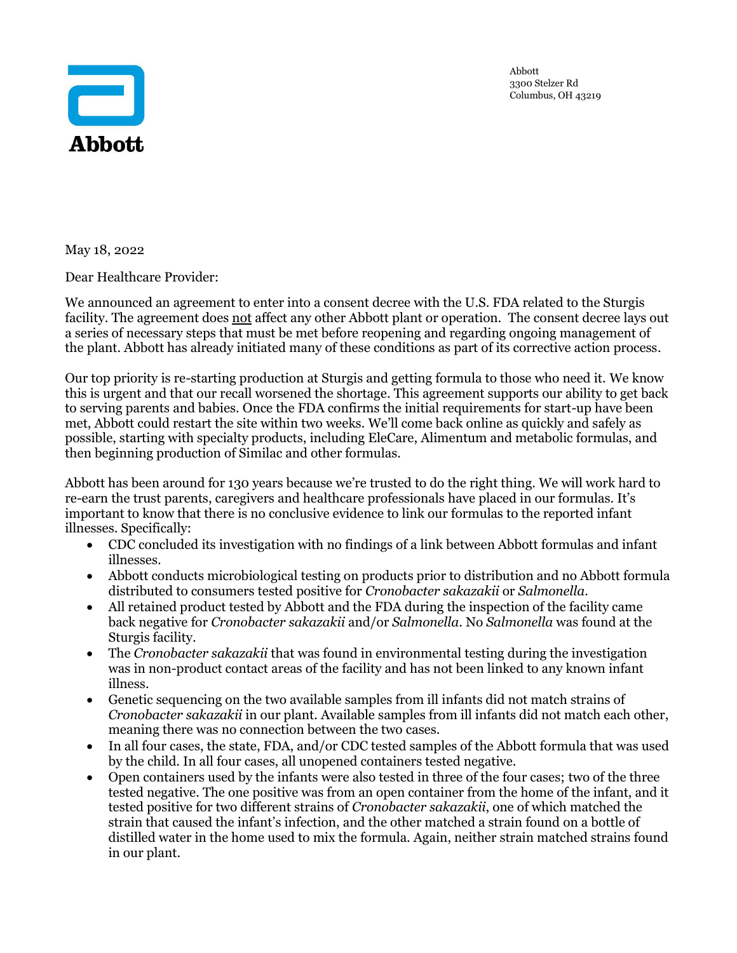

Abbott 3300 Stelzer Rd Columbus, OH 43219

May 18, 2022

Dear Healthcare Provider:

W[e announced](https://abbott.mediaroom.com/2022-05-16-Abbott-Enters-into-Consent-Decree-with-U-S-Food-and-Drug-Administration-for-its-Sturgis,-Mich-,-Plant-Agreement-Creates-Pathway-to-Reopen-Facility) an agreement to enter into a consent decree with the U.S. FDA related to the Sturgis facility. The agreement does not affect any other Abbott plant or operation. The consent decree lays out a series of necessary steps that must be met before reopening and regarding ongoing management of the plant. Abbott has already initiated many of these conditions as part of its corrective action process.

Our top priority is re-starting production at Sturgis and getting formula to those who need it. We know this is urgent and that our recall worsened the shortage. This agreement supports our ability to get back to serving parents and babies. Once the FDA confirms the initial requirements for start-up have been met, Abbott could restart the site within two weeks. We'll come back online as quickly and safely as possible, starting with specialty products, including EleCare, Alimentum and metabolic formulas, and then beginning production of Similac and other formulas.

Abbott has been around for 130 years because we're trusted to do the right thing. We will work hard to re-earn the trust parents, caregivers and healthcare professionals have placed in our formulas. It's important to know that there is no conclusive evidence to link our formulas to the reported infant illnesses. Specifically:

- CDC concluded its investigation with no findings of a link between Abbott formulas and infant illnesses.
- Abbott conducts microbiological testing on products prior to distribution and no Abbott formula distributed to consumers tested positive for *Cronobacter sakazakii* or *Salmonella*.
- All retained product tested by Abbott and the FDA during the inspection of the facility came back negative for *Cronobacter sakazakii* and/or *Salmonella*. No *Salmonella* was found at the Sturgis facility.
- The *Cronobacter sakazakii* that was found in environmental testing during the investigation was in non-product contact areas of the facility and has not been linked to any known infant illness.
- Genetic sequencing on the two available samples from ill infants did not match strains of *Cronobacter sakazakii* in our plant. Available samples from ill infants did not match each other, meaning there was no connection between the two cases.
- In all four cases, the state, FDA, and/or CDC tested samples of the Abbott formula that was used by the child. In all four cases, all unopened containers tested negative.
- Open containers used by the infants were also tested in three of the four cases; two of the three tested negative. The one positive was from an open container from the home of the infant, and it tested positive for two different strains of *Cronobacter sakazakii*, one of which matched the strain that caused the infant's infection, and the other matched a strain found on a bottle of distilled water in the home used to mix the formula. Again, neither strain matched strains found in our plant.